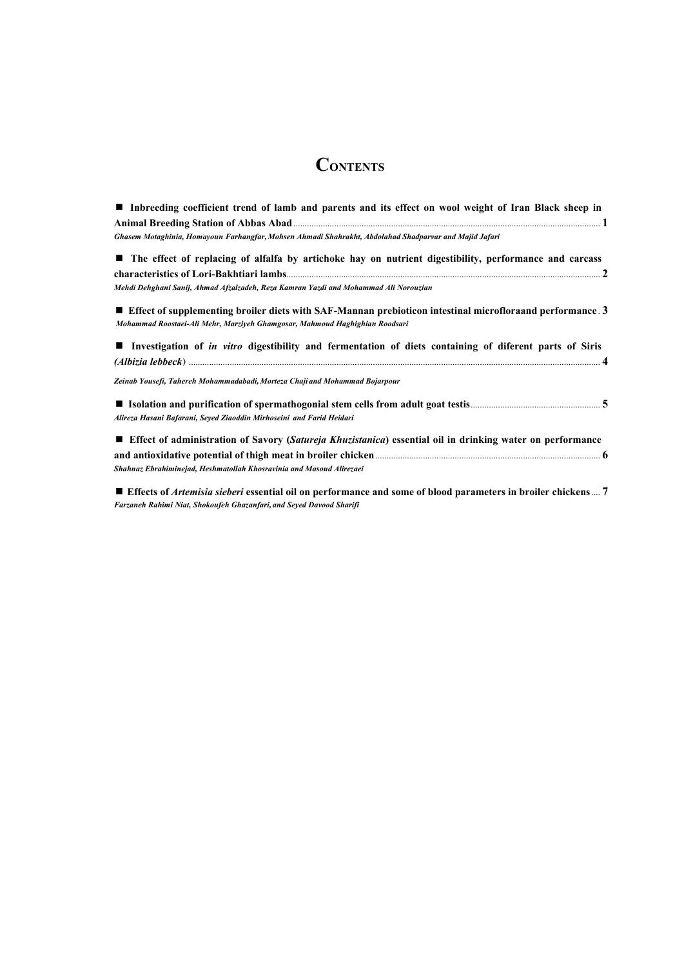# **CONTENTS**

| Inbreeding coefficient trend of lamb and parents and its effect on wool weight of Iran Black sheep in                                                                                    |
|------------------------------------------------------------------------------------------------------------------------------------------------------------------------------------------|
|                                                                                                                                                                                          |
| Ghasem Motaghinia, Homayoun Farhangfar, Mohsen Ahmadi Shahrakht, Abdolahad Shadparvar and Majid Jafari                                                                                   |
| ■ The effect of replacing of alfalfa by artichoke hay on nutrient digestibility, performance and carcass                                                                                 |
|                                                                                                                                                                                          |
| Mehdi Dehghani Sanij, Ahmad Afzalzadeh, Reza Kamran Yazdi and Mohammad Ali Norouzian                                                                                                     |
| Effect of supplementing broiler diets with SAF-Mannan prebioticon intestinal microfloraand performance. 3<br>Mohammad Roostaei-Ali Mehr, Marziyeh Ghamgosar, Mahmoud Haghighian Roodsari |
|                                                                                                                                                                                          |
| I Investigation of <i>in vitro</i> digestibility and fermentation of diets containing of diferent parts of Siris                                                                         |
|                                                                                                                                                                                          |
| Zeinab Yousefi, Tahereh Mohammadabadi, Morteza Chaji and Mohammad Bojarpour                                                                                                              |
|                                                                                                                                                                                          |
| Alireza Hasani Bafarani, Seyed Ziaoddin Mirhoseini and Farid Heidari                                                                                                                     |
| <b>Effect of administration of Savory (Satureja Khuzistanica) essential oil in drinking water on performance</b>                                                                         |
|                                                                                                                                                                                          |
| Shahnaz Ebrahiminejad, Heshmatollah Khosravinia and Masoud Alirezaei                                                                                                                     |
|                                                                                                                                                                                          |

 **Effects of** *Artemisia sieberi* **essential oil on performance and some of blood parameters in broiler chickens** .... **7**  *Farzaneh Rahimi Niat, Shokoufeh Ghazanfari, and Seyed Davood Sharifi*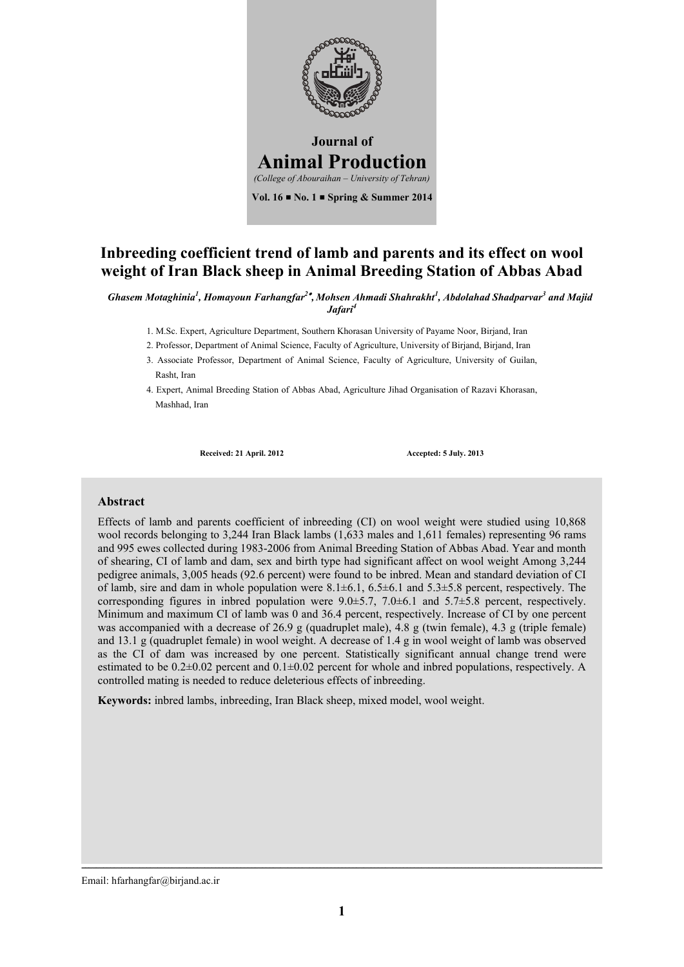

## **Inbreeding coefficient trend of lamb and parents and its effect on wool weight of Iran Black sheep in Animal Breeding Station of Abbas Abad**

*Ghasem Motaghinia1 , Homayoun Farhangfar2 , Mohsen Ahmadi Shahrakht<sup>1</sup> , Abdolahad Shadparvar3 and Majid Jafari<sup>4</sup>*

- 1. M.Sc. Expert, Agriculture Department, Southern Khorasan University of Payame Noor, Birjand, Iran
- 2. Professor, Department of Animal Science, Faculty of Agriculture, University of Birjand, Birjand, Iran
- 3. Associate Professor, Department of Animal Science, Faculty of Agriculture, University of Guilan, Rasht, Iran
- 4. Expert, Animal Breeding Station of Abbas Abad, Agriculture Jihad Organisation of Razavi Khorasan, Mashhad, Iran

**Received: 21 April. 2012 Accepted: 5 July. 2013**

### **Abstract**

Effects of lamb and parents coefficient of inbreeding (CI) on wool weight were studied using 10,868 wool records belonging to 3,244 Iran Black lambs (1,633 males and 1,611 females) representing 96 rams and 995 ewes collected during 1983-2006 from Animal Breeding Station of Abbas Abad. Year and month of shearing, CI of lamb and dam, sex and birth type had significant affect on wool weight Among 3,244 pedigree animals, 3,005 heads (92.6 percent) were found to be inbred. Mean and standard deviation of CI of lamb, sire and dam in whole population were  $8.1\pm6.1$ ,  $6.5\pm6.1$  and  $5.3\pm5.8$  percent, respectively. The corresponding figures in inbred population were 9.0±5.7, 7.0±6.1 and 5.7±5.8 percent, respectively. Minimum and maximum CI of lamb was 0 and 36.4 percent, respectively. Increase of CI by one percent was accompanied with a decrease of 26.9 g (quadruplet male), 4.8 g (twin female), 4.3 g (triple female) and 13.1 g (quadruplet female) in wool weight. A decrease of 1.4 g in wool weight of lamb was observed as the CI of dam was increased by one percent. Statistically significant annual change trend were estimated to be  $0.2\pm0.02$  percent and  $0.1\pm0.02$  percent for whole and inbred populations, respectively. A controlled mating is needed to reduce deleterious effects of inbreeding.

**Keywords:** inbred lambs, inbreeding, Iran Black sheep, mixed model, wool weight.

Email: hfarhangfar@birjand.ac.ir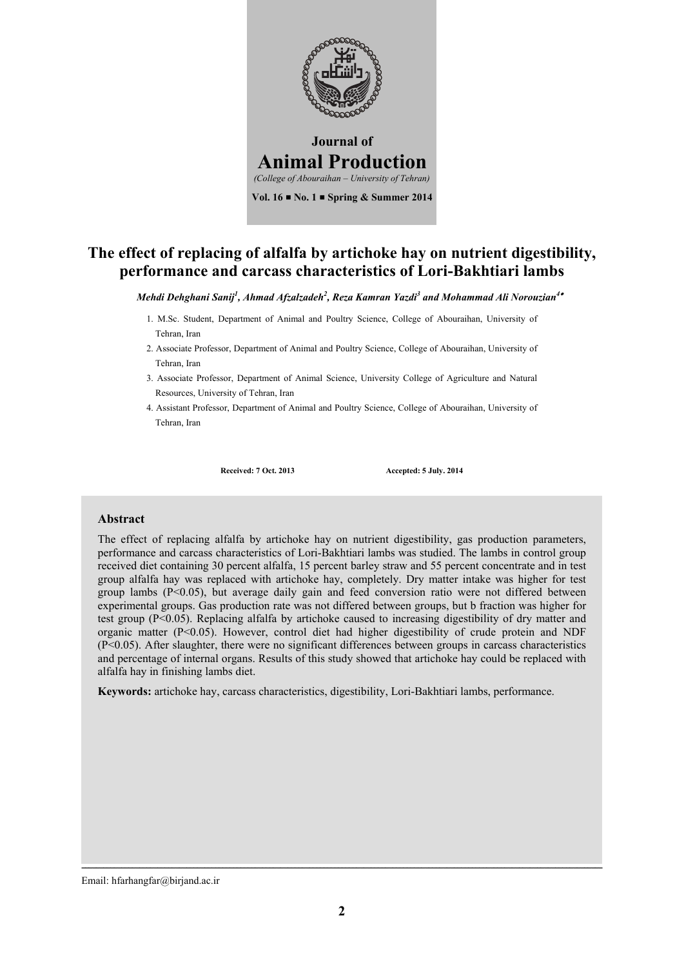

# **The effect of replacing of alfalfa by artichoke hay on nutrient digestibility, performance and carcass characteristics of Lori-Bakhtiari lambs**

*Mehdi Dehghani Sanij<sup>1</sup> , Ahmad Afzalzadeh2 , Reza Kamran Yazdi3 and Mohammad Ali Norouzian4*

- 1. M.Sc. Student, Department of Animal and Poultry Science, College of Abouraihan, University of Tehran, Iran
- 2. Associate Professor, Department of Animal and Poultry Science, College of Abouraihan, University of Tehran, Iran
- 3. Associate Professor, Department of Animal Science, University College of Agriculture and Natural Resources, University of Tehran, Iran
- 4. Assistant Professor, Department of Animal and Poultry Science, College of Abouraihan, University of Tehran, Iran

**Received: 7 Oct. 2013 Accepted: 5 July. 2014**

#### **Abstract**

The effect of replacing alfalfa by artichoke hay on nutrient digestibility, gas production parameters, performance and carcass characteristics of Lori-Bakhtiari lambs was studied. The lambs in control group received diet containing 30 percent alfalfa, 15 percent barley straw and 55 percent concentrate and in test group alfalfa hay was replaced with artichoke hay, completely. Dry matter intake was higher for test group lambs  $(P<0.05)$ , but average daily gain and feed conversion ratio were not differed between experimental groups. Gas production rate was not differed between groups, but b fraction was higher for test group (P<0.05). Replacing alfalfa by artichoke caused to increasing digestibility of dry matter and organic matter (P<0.05). However, control diet had higher digestibility of crude protein and NDF (P<0.05). After slaughter, there were no significant differences between groups in carcass characteristics and percentage of internal organs. Results of this study showed that artichoke hay could be replaced with alfalfa hay in finishing lambs diet.

**Keywords:** artichoke hay, carcass characteristics, digestibility, Lori-Bakhtiari lambs, performance.

Email: hfarhangfar@birjand.ac.ir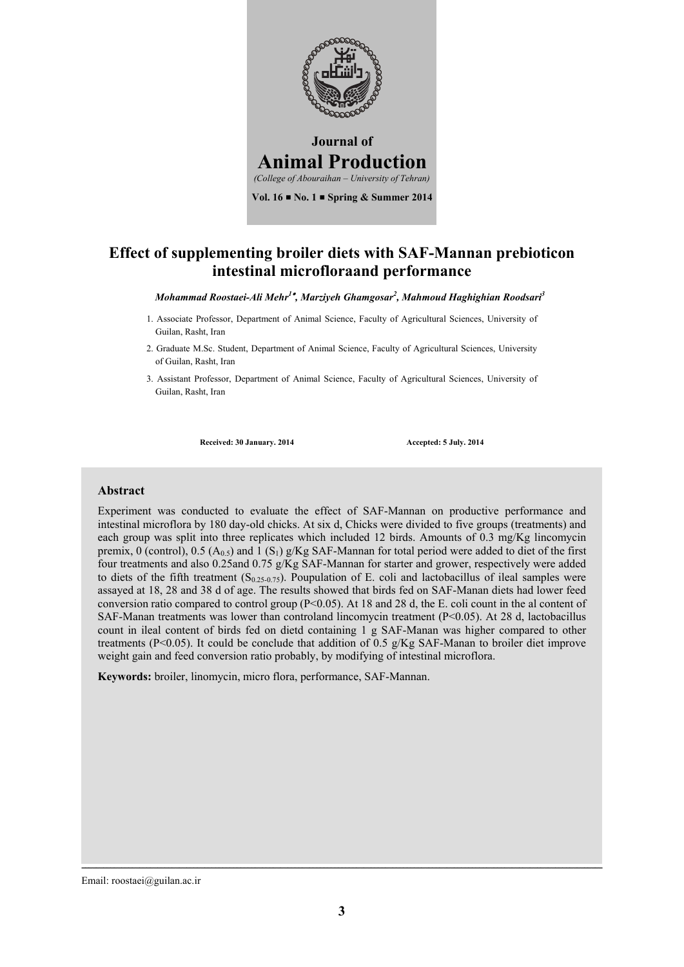

## **Effect of supplementing broiler diets with SAF-Mannan prebioticon intestinal microfloraand performance**

*Mohammad Roostaei-Ali Mehr1 , Marziyeh Ghamgosar2 , Mahmoud Haghighian Roodsari3*

- 1. Associate Professor, Department of Animal Science, Faculty of Agricultural Sciences, University of Guilan, Rasht, Iran
- 2. Graduate M.Sc. Student, Department of Animal Science, Faculty of Agricultural Sciences, University of Guilan, Rasht, Iran
- 3. Assistant Professor, Department of Animal Science, Faculty of Agricultural Sciences, University of Guilan, Rasht, Iran

**Received: 30 January. 2014 Accepted: 5 July. 2014**

### **Abstract**

Experiment was conducted to evaluate the effect of SAF-Mannan on productive performance and intestinal microflora by 180 day-old chicks. At six d, Chicks were divided to five groups (treatments) and each group was split into three replicates which included 12 birds. Amounts of 0.3 mg/Kg lincomycin premix, 0 (control), 0.5 ( $A_0$ <sub>5</sub>) and 1 (S<sub>1</sub>) g/Kg SAF-Mannan for total period were added to diet of the first four treatments and also 0.25and 0.75 g/Kg SAF-Mannan for starter and grower, respectively were added to diets of the fifth treatment  $(S_{0.25-0.75})$ . Poupulation of E. coli and lactobacillus of ileal samples were assayed at 18, 28 and 38 d of age. The results showed that birds fed on SAF-Manan diets had lower feed conversion ratio compared to control group ( $P<0.05$ ). At 18 and 28 d, the E. coli count in the al content of SAF-Manan treatments was lower than controland lincomycin treatment  $(P<0.05)$ . At 28 d, lactobacillus count in ileal content of birds fed on dietd containing 1 g SAF-Manan was higher compared to other treatments (P<0.05). It could be conclude that addition of 0.5 g/Kg SAF-Manan to broiler diet improve weight gain and feed conversion ratio probably, by modifying of intestinal microflora.

**Keywords:** broiler, linomycin, micro flora, performance, SAF-Mannan.

Email: roostaei@guilan.ac.ir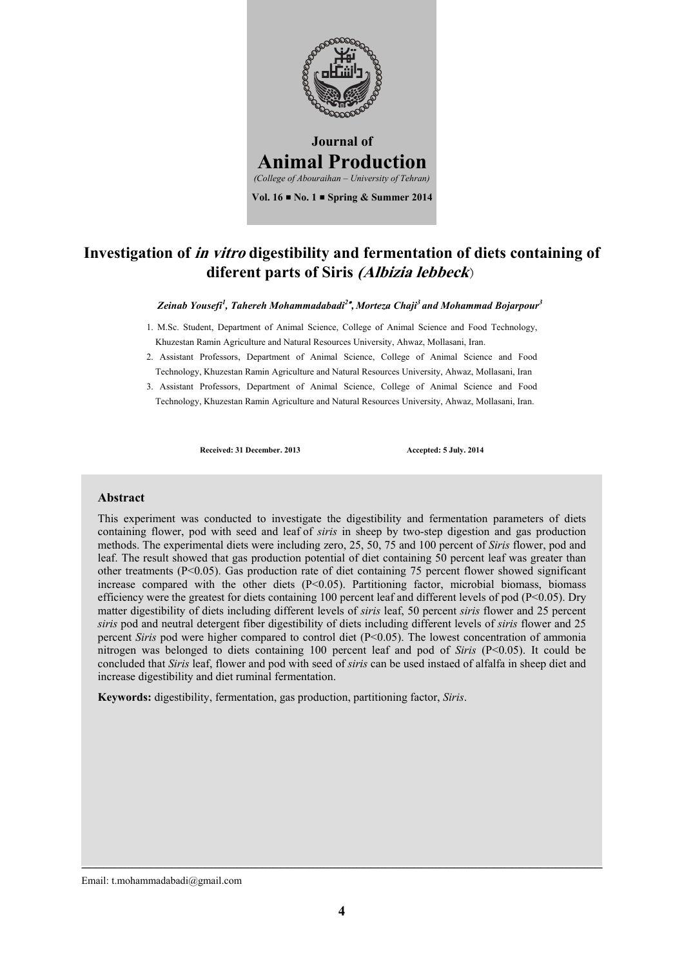

# **Investigation of in vitro digestibility and fermentation of diets containing of diferent parts of Siris (Albizia lebbeck**)

#### *Zeinab Yousefi<sup>1</sup> , Tahereh Mohammadabadi2 , Morteza Chaji<sup>3</sup> and Mohammad Bojarpour3*

- 1. M.Sc. Student, Department of Animal Science, College of Animal Science and Food Technology, Khuzestan Ramin Agriculture and Natural Resources University, Ahwaz, Mollasani, Iran.
- 2. Assistant Professors, Department of Animal Science, College of Animal Science and Food Technology, Khuzestan Ramin Agriculture and Natural Resources University, Ahwaz, Mollasani, Iran
- 3. Assistant Professors, Department of Animal Science, College of Animal Science and Food Technology, Khuzestan Ramin Agriculture and Natural Resources University, Ahwaz, Mollasani, Iran.

Received: 31 December. 2013 **Accepted: 5 July. 2014** 

### **Abstract**

This experiment was conducted to investigate the digestibility and fermentation parameters of diets containing flower, pod with seed and leaf of *siris* in sheep by two-step digestion and gas production methods. The experimental diets were including zero, 25, 50, 75 and 100 percent of *Siris* flower, pod and leaf. The result showed that gas production potential of diet containing 50 percent leaf was greater than other treatments (P<0.05). Gas production rate of diet containing 75 percent flower showed significant increase compared with the other diets (P<0.05). Partitioning factor, microbial biomass, biomass efficiency were the greatest for diets containing 100 percent leaf and different levels of pod (P<0.05). Dry matter digestibility of diets including different levels of *siris* leaf, 50 percent *siris* flower and 25 percent *siris* pod and neutral detergent fiber digestibility of diets including different levels of *siris* flower and 25 percent *Siris* pod were higher compared to control diet (P<0.05). The lowest concentration of ammonia nitrogen was belonged to diets containing 100 percent leaf and pod of *Siris* (P<0.05). It could be concluded that *Siris* leaf, flower and pod with seed of *siris* can be used instaed of alfalfa in sheep diet and increase digestibility and diet ruminal fermentation.

**Keywords:** digestibility, fermentation, gas production, partitioning factor, *Siris*.

Email: t.mohammadabadi@gmail.com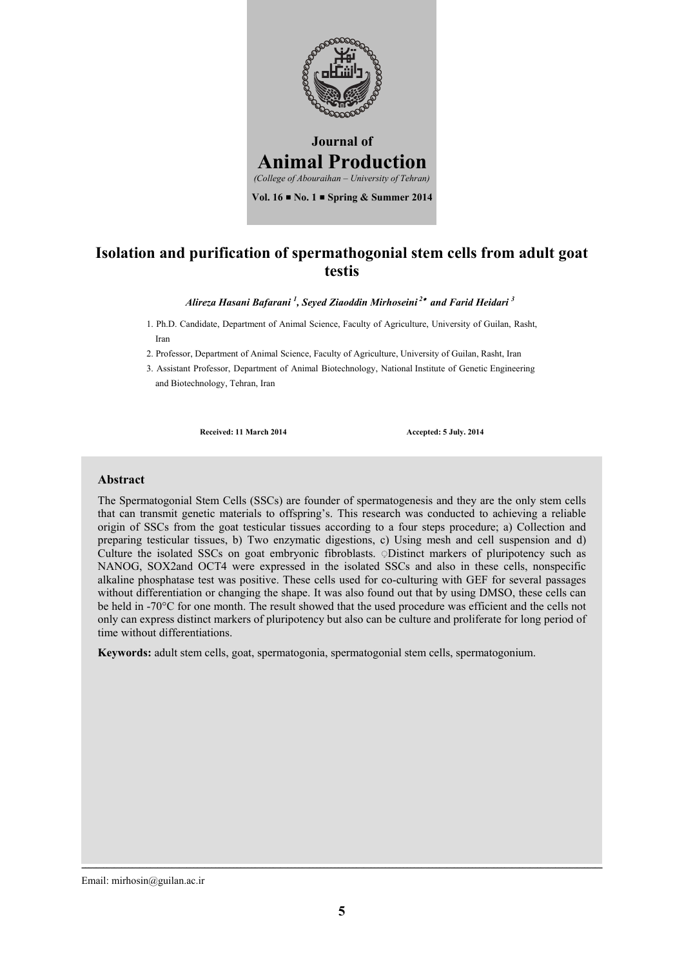

### **Isolation and purification of spermathogonial stem cells from adult goat testis**

*Alireza Hasani Bafarani <sup>1</sup> , Seyed Ziaoddin Mirhoseini 2 and Farid Heidari <sup>3</sup>*

1. Ph.D. Candidate, Department of Animal Science, Faculty of Agriculture, University of Guilan, Rasht, Iran

2. Professor, Department of Animal Science, Faculty of Agriculture, University of Guilan, Rasht, Iran

3. Assistant Professor, Department of Animal Biotechnology, National Institute of Genetic Engineering and Biotechnology, Tehran, Iran

**Received: 11 March 2014 Accepted: 5 July. 2014**

#### **Abstract**

The Spermatogonial Stem Cells (SSCs) are founder of spermatogenesis and they are the only stem cells that can transmit genetic materials to offspring's. This research was conducted to achieving a reliable origin of SSCs from the goat testicular tissues according to a four steps procedure; a) Collection and preparing testicular tissues, b) Two enzymatic digestions, c) Using mesh and cell suspension and d) Culture the isolated SSCs on goat embryonic fibroblasts. ◌ِ Distinct markers of pluripotency such as NANOG, SOX2and OCT4 were expressed in the isolated SSCs and also in these cells, nonspecific alkaline phosphatase test was positive. These cells used for co-culturing with GEF for several passages without differentiation or changing the shape. It was also found out that by using DMSO, these cells can be held in -70°C for one month. The result showed that the used procedure was efficient and the cells not only can express distinct markers of pluripotency but also can be culture and proliferate for long period of time without differentiations.

**Keywords:** adult stem cells, goat, spermatogonia, spermatogonial stem cells, spermatogonium.

Email: mirhosin@guilan.ac.ir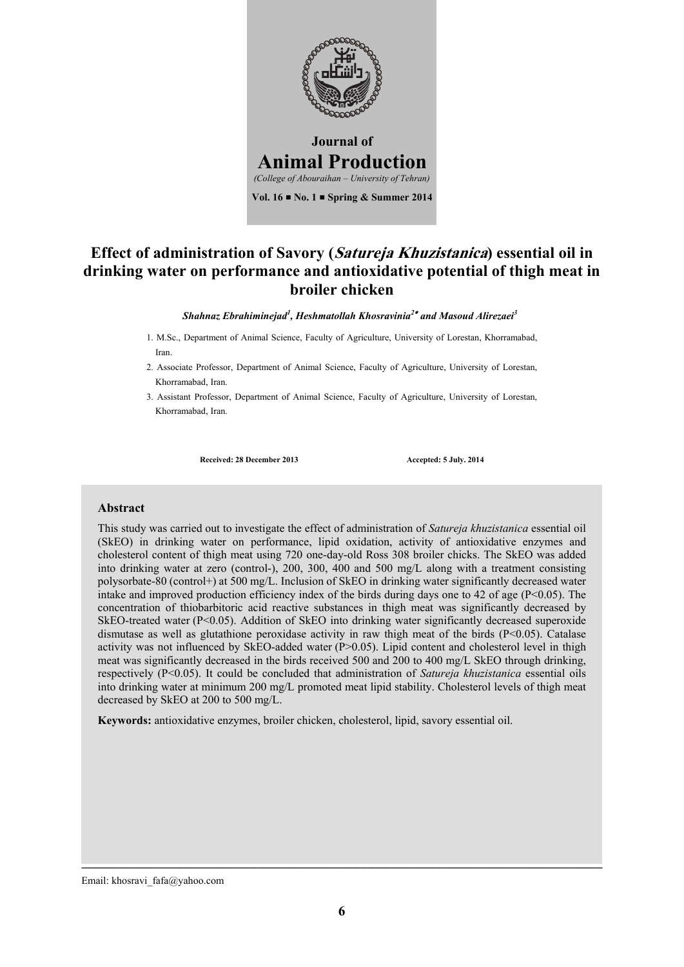

# **Effect of administration of Savory (Satureja Khuzistanica) essential oil in drinking water on performance and antioxidative potential of thigh meat in broiler chicken**

*Shahnaz Ebrahiminejad<sup>1</sup> , Heshmatollah Khosravinia<sup>2</sup> and Masoud Alirezaei3* 

- 1. M.Sc., Department of Animal Science, Faculty of Agriculture, University of Lorestan, Khorramabad, Iran.
- 2. Associate Professor, Department of Animal Science, Faculty of Agriculture, University of Lorestan, Khorramabad, Iran.
- 3. Assistant Professor, Department of Animal Science, Faculty of Agriculture, University of Lorestan, Khorramabad, Iran.

Received: 28 December 2013 Accepted: 5 July. 2014

#### **Abstract**

This study was carried out to investigate the effect of administration of *Satureja khuzistanica* essential oil (SkEO) in drinking water on performance, lipid oxidation, activity of antioxidative enzymes and cholesterol content of thigh meat using 720 one-day-old Ross 308 broiler chicks. The SkEO was added into drinking water at zero (control-), 200, 300, 400 and 500 mg/L along with a treatment consisting polysorbate-80 (control+) at 500 mg/L. Inclusion of SkEO in drinking water significantly decreased water intake and improved production efficiency index of the birds during days one to 42 of age (P<0.05). The concentration of thiobarbitoric acid reactive substances in thigh meat was significantly decreased by SkEO-treated water (P<0.05). Addition of SkEO into drinking water significantly decreased superoxide dismutase as well as glutathione peroxidase activity in raw thigh meat of the birds (P<0.05). Catalase activity was not influenced by SkEO-added water  $(P>0.05)$ . Lipid content and cholesterol level in thigh meat was significantly decreased in the birds received 500 and 200 to 400 mg/L SkEO through drinking, respectively (P<0.05). It could be concluded that administration of *Satureja khuzistanica* essential oils into drinking water at minimum 200 mg/L promoted meat lipid stability. Cholesterol levels of thigh meat decreased by SkEO at 200 to 500 mg/L.

**Keywords:** antioxidative enzymes, broiler chicken, cholesterol, lipid, savory essential oil.

Email: khosravi\_fafa@yahoo.com